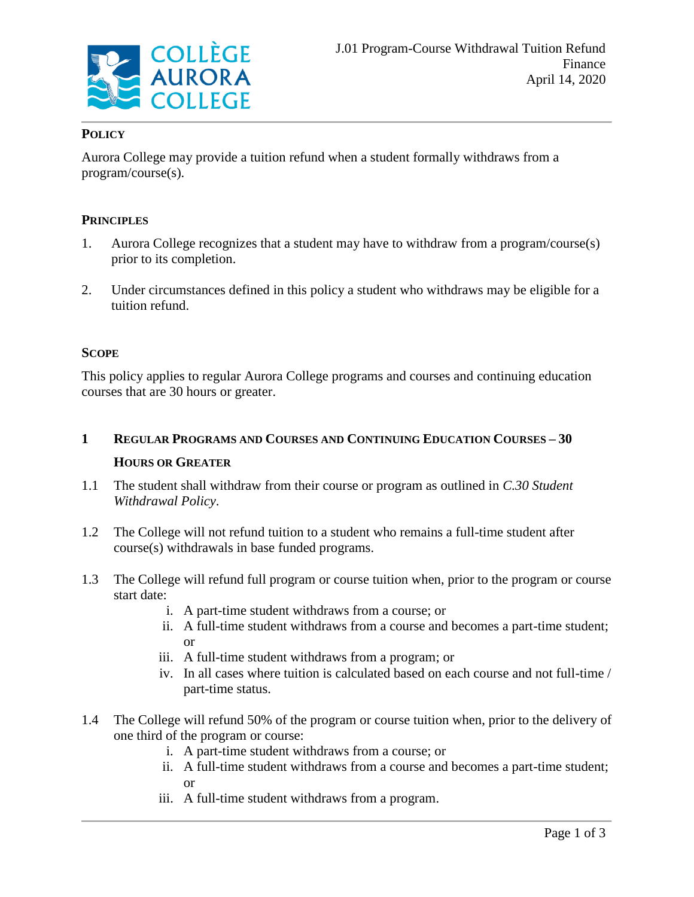

# **POLICY**

Aurora College may provide a tuition refund when a student formally withdraws from a program/course(s).

# **PRINCIPLES**

- 1. Aurora College recognizes that a student may have to withdraw from a program/course(s) prior to its completion.
- 2. Under circumstances defined in this policy a student who withdraws may be eligible for a tuition refund.

## **SCOPE**

This policy applies to regular Aurora College programs and courses and continuing education courses that are 30 hours or greater.

- **1 REGULAR PROGRAMS AND COURSES AND CONTINUING EDUCATION COURSES – 30 HOURS OR GREATER**
- 1.1 The student shall withdraw from their course or program as outlined in *C.30 Student Withdrawal Policy*.
- 1.2 The College will not refund tuition to a student who remains a full-time student after course(s) withdrawals in base funded programs.
- 1.3 The College will refund full program or course tuition when, prior to the program or course start date:
	- i. A part-time student withdraws from a course; or
	- ii. A full-time student withdraws from a course and becomes a part-time student; or
	- iii. A full-time student withdraws from a program; or
	- iv. In all cases where tuition is calculated based on each course and not full-time / part-time status.
- 1.4 The College will refund 50% of the program or course tuition when, prior to the delivery of one third of the program or course:
	- i. A part-time student withdraws from a course; or
	- ii. A full-time student withdraws from a course and becomes a part-time student; or
	- iii. A full-time student withdraws from a program.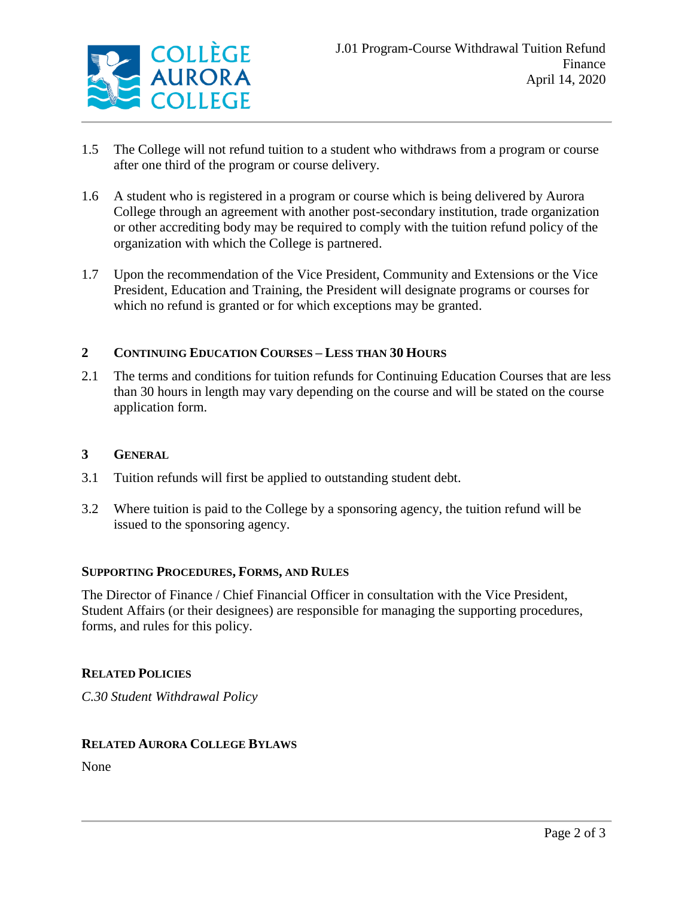

- 1.5 The College will not refund tuition to a student who withdraws from a program or course after one third of the program or course delivery.
- 1.6 A student who is registered in a program or course which is being delivered by Aurora College through an agreement with another post-secondary institution, trade organization or other accrediting body may be required to comply with the tuition refund policy of the organization with which the College is partnered.
- 1.7 Upon the recommendation of the Vice President, Community and Extensions or the Vice President, Education and Training, the President will designate programs or courses for which no refund is granted or for which exceptions may be granted.

# **2 CONTINUING EDUCATION COURSES – LESS THAN 30 HOURS**

2.1 The terms and conditions for tuition refunds for Continuing Education Courses that are less than 30 hours in length may vary depending on the course and will be stated on the course application form.

## **3 GENERAL**

- 3.1 Tuition refunds will first be applied to outstanding student debt.
- 3.2 Where tuition is paid to the College by a sponsoring agency, the tuition refund will be issued to the sponsoring agency.

### **SUPPORTING PROCEDURES, FORMS, AND RULES**

The Director of Finance / Chief Financial Officer in consultation with the Vice President, Student Affairs (or their designees) are responsible for managing the supporting procedures, forms, and rules for this policy.

### **RELATED POLICIES**

*C.30 Student Withdrawal Policy*

### **RELATED AURORA COLLEGE BYLAWS**

None